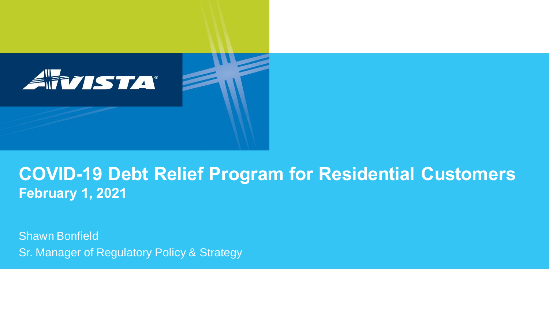

#### **COVID-19 Debt Relief Program for Residential Customers February 1, 2021**

Shawn Bonfield Sr. Manager of Regulatory Policy & Strategy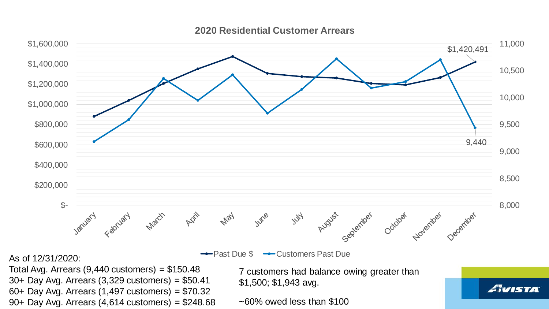

**2020 Residential Customer Arrears**

Total Avg. Arrears  $(9,440 \text{ customers}) = $150.48$ 

30+ Day Avg. Arrears (3,329 customers) = \$50.41 60+ Day Avg. Arrears (1,497 customers) = \$70.32 90+ Day Avg. Arrears (4,614 customers) = \$248.68 7 customers had balance owing greater than \$1,500; \$1,943 avg.

*Avista* 

 $\sim$  60% owed less than \$100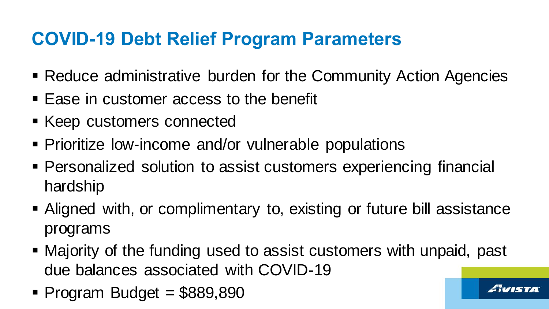## **COVID-19 Debt Relief Program Parameters**

- Reduce administrative burden for the Community Action Agencies
- Ease in customer access to the benefit
- Keep customers connected
- **Prioritize low-income and/or vulnerable populations**
- Personalized solution to assist customers experiencing financial hardship
- Aligned with, or complimentary to, existing or future bill assistance programs
- Majority of the funding used to assist customers with unpaid, past due balances associated with COVID-19
- $\blacksquare$  Program Budget = \$889,890

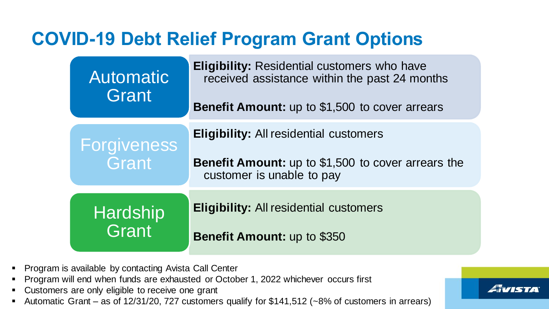### **COVID-19 Debt Relief Program Grant Options**

| <b>Automatic</b><br>Grant         | <b>Eligibility: Residential customers who have</b><br>received assistance within the past 24 months<br><b>Benefit Amount:</b> up to \$1,500 to cover arrears |
|-----------------------------------|--------------------------------------------------------------------------------------------------------------------------------------------------------------|
| Forgiveness                       | <b>Eligibility: All residential customers</b>                                                                                                                |
| Grant<br><b>Hardship</b><br>Grant | <b>Benefit Amount:</b> up to \$1,500 to cover arrears the<br>customer is unable to pay                                                                       |
|                                   | <b>Eligibility: All residential customers</b>                                                                                                                |
|                                   | <b>Benefit Amount: up to \$350</b>                                                                                                                           |

*Avista* 

- Program is available by contacting Avista Call Center
- Program will end when funds are exhausted or October 1, 2022 whichever occurs first
- Customers are only eligible to receive one grant
- Automatic Grant as of 12/31/20, 727 customers qualify for \$141,512 (~8% of customers in arrears)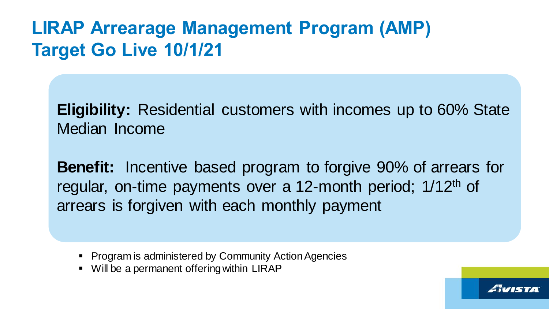## **LIRAP Arrearage Management Program (AMP) Target Go Live 10/1/21**

**Eligibility:** Residential customers with incomes up to 60% State Median Income

**Benefit:** Incentive based program to forgive 90% of arrears for regular, on-time payments over a 12-month period; 1/12th of arrears is forgiven with each monthly payment

- Program is administered by Community Action Agencies
- Will be a permanent offering within LIRAP

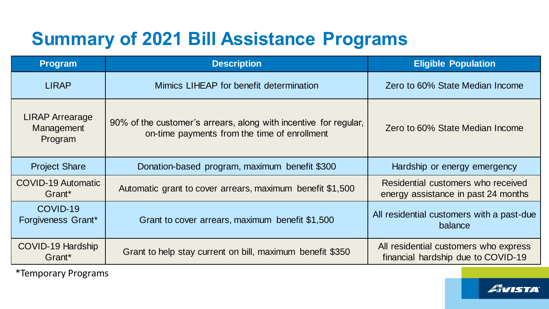# **Summary of 2021 Bill Assistance Programs**

| <b>Program</b>                                  | <b>Description</b>                                                                                               | <b>Eligible Population</b>                                                  |
|-------------------------------------------------|------------------------------------------------------------------------------------------------------------------|-----------------------------------------------------------------------------|
| <b>LIRAP</b>                                    | Mimics LIHEAP for benefit determination                                                                          | Zero to 60% State Median Income                                             |
| <b>LIRAP Arrearage</b><br>Management<br>Program | 90% of the customer's arrears, along with incentive for regular,<br>on-time payments from the time of enrollment | Zero to 60% State Median Income                                             |
| <b>Project Share</b>                            | Donation-based program, maximum benefit \$300                                                                    | Hardship or energy emergency                                                |
| <b>COVID-19 Automatic</b><br>Grant*             | Automatic grant to cover arrears, maximum benefit \$1,500                                                        | Residential customers who received<br>energy assistance in past 24 months   |
| COVID-19<br>Forgiveness Grant*                  | Grant to cover arrears, maximum benefit \$1,500                                                                  | All residential customers with a past-due<br>balance                        |
| COVID-19 Hardship<br>Grant*                     | Grant to help stay current on bill, maximum benefit \$350                                                        | All residential customers who express<br>financial hardship due to COVID-19 |

\*Temporary Programs